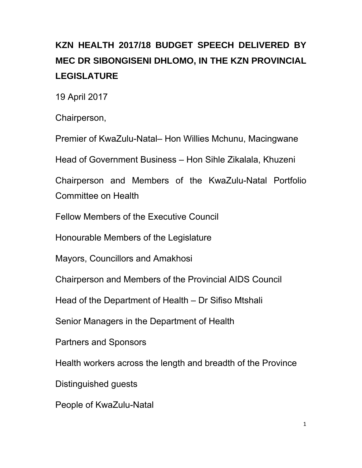# **KZN HEALTH 2017/18 BUDGET SPEECH DELIVERED BY MEC DR SIBONGISENI DHLOMO, IN THE KZN PROVINCIAL LEGISLATURE**

19 April 2017

Chairperson,

Premier of KwaZulu-Natal– Hon Willies Mchunu, Macingwane

Head of Government Business – Hon Sihle Zikalala, Khuzeni

Chairperson and Members of the KwaZulu-Natal Portfolio Committee on Health

Fellow Members of the Executive Council

Honourable Members of the Legislature

Mayors, Councillors and Amakhosi

Chairperson and Members of the Provincial AIDS Council

Head of the Department of Health – Dr Sifiso Mtshali

Senior Managers in the Department of Health

Partners and Sponsors

Health workers across the length and breadth of the Province

Distinguished guests

People of KwaZulu-Natal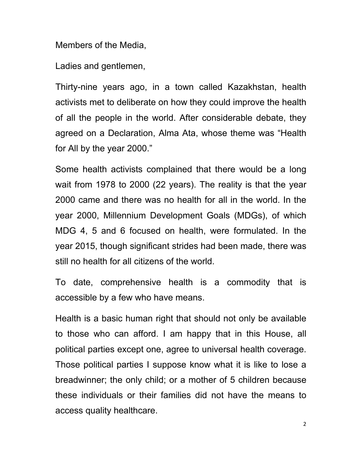Members of the Media,

Ladies and gentlemen,

Thirty-nine years ago, in a town called Kazakhstan, health activists met to deliberate on how they could improve the health of all the people in the world. After considerable debate, they agreed on a Declaration, Alma Ata, whose theme was "Health for All by the year 2000."

Some health activists complained that there would be a long wait from 1978 to 2000 (22 years). The reality is that the year 2000 came and there was no health for all in the world. In the year 2000, Millennium Development Goals (MDGs), of which MDG 4, 5 and 6 focused on health, were formulated. In the year 2015, though significant strides had been made, there was still no health for all citizens of the world.

To date, comprehensive health is a commodity that is accessible by a few who have means.

Health is a basic human right that should not only be available to those who can afford. I am happy that in this House, all political parties except one, agree to universal health coverage. Those political parties I suppose know what it is like to lose a breadwinner; the only child; or a mother of 5 children because these individuals or their families did not have the means to access quality healthcare.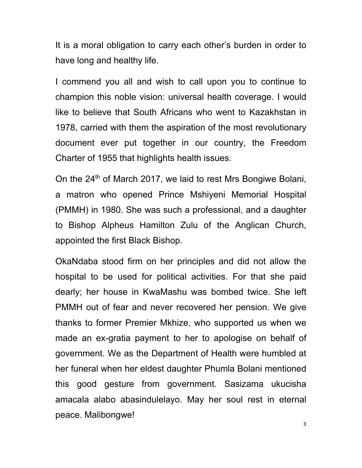It is a moral obligation to carry each other's burden in order to have long and healthy life.

I commend you all and wish to call upon you to continue to champion this noble vision: universal health coverage. I would like to believe that South Africans who went to Kazakhstan in 1978, carried with them the aspiration of the most revolutionary document ever put together in our country, the Freedom Charter of 1955 that highlights health issues.

On the 24<sup>th</sup> of March 2017, we laid to rest Mrs Bongiwe Bolani, a matron who opened Prince Mshiyeni Memorial Hospital (PMMH) in 1980. She was such a professional, and a daughter to Bishop Alpheus Hamilton Zulu of the Anglican Church, appointed the first Black Bishop.

OkaNdaba stood firm on her principles and did not allow the hospital to be used for political activities. For that she paid dearly; her house in KwaMashu was bombed twice. She left PMMH out of fear and never recovered her pension. We give thanks to former Premier Mkhize, who supported us when we made an ex-gratia payment to her to apologise on behalf of government. We as the Department of Health were humbled at her funeral when her eldest daughter Phumla Bolani mentioned this good gesture from government. Sasizama ukucisha amacala alabo abasindulelayo. May her soul rest in eternal peace. Malibongwe!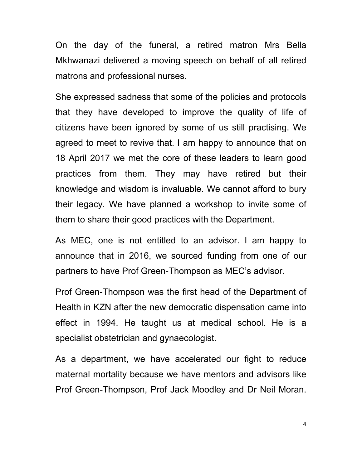On the day of the funeral, a retired matron Mrs Bella Mkhwanazi delivered a moving speech on behalf of all retired matrons and professional nurses.

She expressed sadness that some of the policies and protocols that they have developed to improve the quality of life of citizens have been ignored by some of us still practising. We agreed to meet to revive that. I am happy to announce that on 18 April 2017 we met the core of these leaders to learn good practices from them. They may have retired but their knowledge and wisdom is invaluable. We cannot afford to bury their legacy. We have planned a workshop to invite some of them to share their good practices with the Department.

As MEC, one is not entitled to an advisor. I am happy to announce that in 2016, we sourced funding from one of our partners to have Prof Green-Thompson as MEC's advisor.

Prof Green-Thompson was the first head of the Department of Health in KZN after the new democratic dispensation came into effect in 1994. He taught us at medical school. He is a specialist obstetrician and gynaecologist.

As a department, we have accelerated our fight to reduce maternal mortality because we have mentors and advisors like Prof Green-Thompson, Prof Jack Moodley and Dr Neil Moran.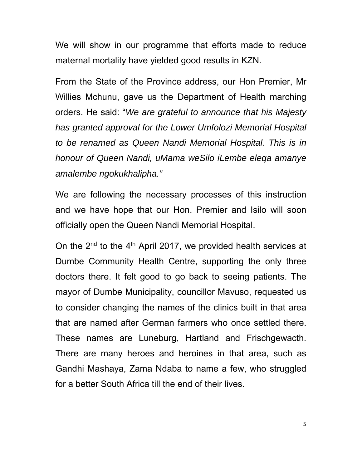We will show in our programme that efforts made to reduce maternal mortality have yielded good results in KZN.

From the State of the Province address, our Hon Premier, Mr Willies Mchunu, gave us the Department of Health marching orders. He said: "*We are grateful to announce that his Majesty has granted approval for the Lower Umfolozi Memorial Hospital to be renamed as Queen Nandi Memorial Hospital. This is in honour of Queen Nandi, uMama weSilo iLembe eleqa amanye amalembe ngokukhalipha."*

We are following the necessary processes of this instruction and we have hope that our Hon. Premier and Isilo will soon officially open the Queen Nandi Memorial Hospital.

On the  $2^{nd}$  to the  $4^{th}$  April 2017, we provided health services at Dumbe Community Health Centre, supporting the only three doctors there. It felt good to go back to seeing patients. The mayor of Dumbe Municipality, councillor Mavuso, requested us to consider changing the names of the clinics built in that area that are named after German farmers who once settled there. These names are Luneburg, Hartland and Frischgewacth. There are many heroes and heroines in that area, such as Gandhi Mashaya, Zama Ndaba to name a few, who struggled for a better South Africa till the end of their lives.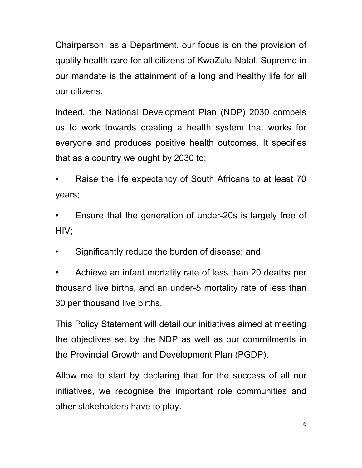Chairperson, as a Department, our focus is on the provision of quality health care for all citizens of KwaZulu-Natal. Supreme in our mandate is the attainment of a long and healthy life for all our citizens.

Indeed, the National Development Plan (NDP) 2030 compels us to work towards creating a health system that works for everyone and produces positive health outcomes. It specifies that as a country we ought by 2030 to:

• Raise the life expectancy of South Africans to at least 70 years;

• Ensure that the generation of under-20s is largely free of HIV;

• Significantly reduce the burden of disease; and

• Achieve an infant mortality rate of less than 20 deaths per thousand live births, and an under-5 mortality rate of less than 30 per thousand live births.

This Policy Statement will detail our initiatives aimed at meeting the objectives set by the NDP as well as our commitments in the Provincial Growth and Development Plan (PGDP).

Allow me to start by declaring that for the success of all our initiatives, we recognise the important role communities and other stakeholders have to play.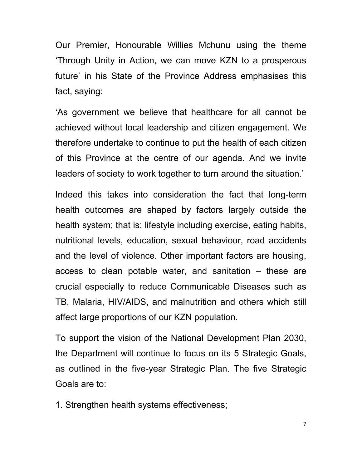Our Premier, Honourable Willies Mchunu using the theme 'Through Unity in Action, we can move KZN to a prosperous future' in his State of the Province Address emphasises this fact, saying:

'As government we believe that healthcare for all cannot be achieved without local leadership and citizen engagement. We therefore undertake to continue to put the health of each citizen of this Province at the centre of our agenda. And we invite leaders of society to work together to turn around the situation.'

Indeed this takes into consideration the fact that long-term health outcomes are shaped by factors largely outside the health system; that is; lifestyle including exercise, eating habits, nutritional levels, education, sexual behaviour, road accidents and the level of violence. Other important factors are housing, access to clean potable water, and sanitation – these are crucial especially to reduce Communicable Diseases such as TB, Malaria, HIV/AIDS, and malnutrition and others which still affect large proportions of our KZN population.

To support the vision of the National Development Plan 2030, the Department will continue to focus on its 5 Strategic Goals, as outlined in the five-year Strategic Plan. The five Strategic Goals are to:

1. Strengthen health systems effectiveness;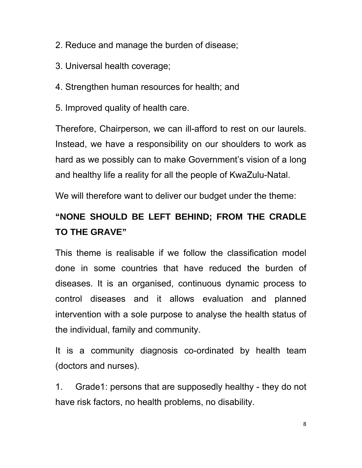- 2. Reduce and manage the burden of disease;
- 3. Universal health coverage;
- 4. Strengthen human resources for health; and
- 5. Improved quality of health care.

Therefore, Chairperson, we can ill-afford to rest on our laurels. Instead, we have a responsibility on our shoulders to work as hard as we possibly can to make Government's vision of a long and healthy life a reality for all the people of KwaZulu-Natal.

We will therefore want to deliver our budget under the theme:

# **"NONE SHOULD BE LEFT BEHIND; FROM THE CRADLE TO THE GRAVE"**

This theme is realisable if we follow the classification model done in some countries that have reduced the burden of diseases. It is an organised, continuous dynamic process to control diseases and it allows evaluation and planned intervention with a sole purpose to analyse the health status of the individual, family and community.

It is a community diagnosis co-ordinated by health team (doctors and nurses).

1. Grade1: persons that are supposedly healthy - they do not have risk factors, no health problems, no disability.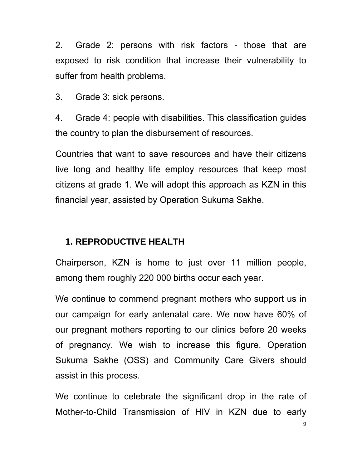2. Grade 2: persons with risk factors - those that are exposed to risk condition that increase their vulnerability to suffer from health problems.

3. Grade 3: sick persons.

4. Grade 4: people with disabilities. This classification guides the country to plan the disbursement of resources.

Countries that want to save resources and have their citizens live long and healthy life employ resources that keep most citizens at grade 1. We will adopt this approach as KZN in this financial year, assisted by Operation Sukuma Sakhe.

### **1. REPRODUCTIVE HEALTH**

Chairperson, KZN is home to just over 11 million people, among them roughly 220 000 births occur each year.

We continue to commend pregnant mothers who support us in our campaign for early antenatal care. We now have 60% of our pregnant mothers reporting to our clinics before 20 weeks of pregnancy. We wish to increase this figure. Operation Sukuma Sakhe (OSS) and Community Care Givers should assist in this process.

We continue to celebrate the significant drop in the rate of Mother-to-Child Transmission of HIV in KZN due to early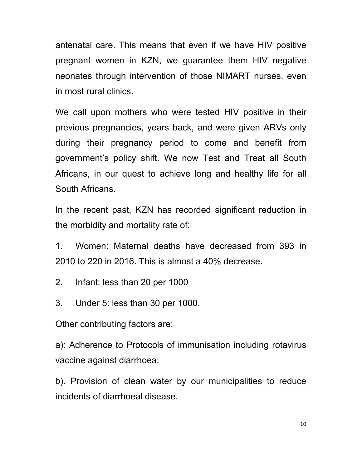antenatal care. This means that even if we have HIV positive pregnant women in KZN, we guarantee them HIV negative neonates through intervention of those NIMART nurses, even in most rural clinics.

We call upon mothers who were tested HIV positive in their previous pregnancies, years back, and were given ARVs only during their pregnancy period to come and benefit from government's policy shift. We now Test and Treat all South Africans, in our quest to achieve long and healthy life for all South Africans.

In the recent past, KZN has recorded significant reduction in the morbidity and mortality rate of:

1. Women: Maternal deaths have decreased from 393 in 2010 to 220 in 2016. This is almost a 40% decrease.

2. Infant: less than 20 per 1000

3. Under 5: less than 30 per 1000.

Other contributing factors are:

a): Adherence to Protocols of immunisation including rotavirus vaccine against diarrhoea;

b). Provision of clean water by our municipalities to reduce incidents of diarrhoeal disease.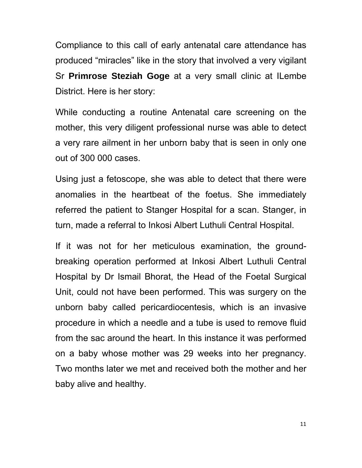Compliance to this call of early antenatal care attendance has produced "miracles" like in the story that involved a very vigilant Sr **Primrose Steziah Goge** at a very small clinic at ILembe District. Here is her story:

While conducting a routine Antenatal care screening on the mother, this very diligent professional nurse was able to detect a very rare ailment in her unborn baby that is seen in only one out of 300 000 cases.

Using just a fetoscope, she was able to detect that there were anomalies in the heartbeat of the foetus. She immediately referred the patient to Stanger Hospital for a scan. Stanger, in turn, made a referral to Inkosi Albert Luthuli Central Hospital.

If it was not for her meticulous examination, the groundbreaking operation performed at Inkosi Albert Luthuli Central Hospital by Dr Ismail Bhorat, the Head of the Foetal Surgical Unit, could not have been performed. This was surgery on the unborn baby called pericardiocentesis, which is an invasive procedure in which a needle and a tube is used to remove fluid from the sac around the heart. In this instance it was performed on a baby whose mother was 29 weeks into her pregnancy. Two months later we met and received both the mother and her baby alive and healthy.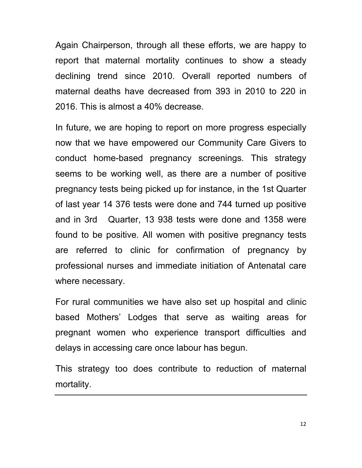Again Chairperson, through all these efforts, we are happy to report that maternal mortality continues to show a steady declining trend since 2010. Overall reported numbers of maternal deaths have decreased from 393 in 2010 to 220 in 2016. This is almost a 40% decrease.

In future, we are hoping to report on more progress especially now that we have empowered our Community Care Givers to conduct home-based pregnancy screenings. This strategy seems to be working well, as there are a number of positive pregnancy tests being picked up for instance, in the 1st Quarter of last year 14 376 tests were done and 744 turned up positive and in 3rd Quarter, 13 938 tests were done and 1358 were found to be positive. All women with positive pregnancy tests are referred to clinic for confirmation of pregnancy by professional nurses and immediate initiation of Antenatal care where necessary.

For rural communities we have also set up hospital and clinic based Mothers' Lodges that serve as waiting areas for pregnant women who experience transport difficulties and delays in accessing care once labour has begun.

This strategy too does contribute to reduction of maternal mortality.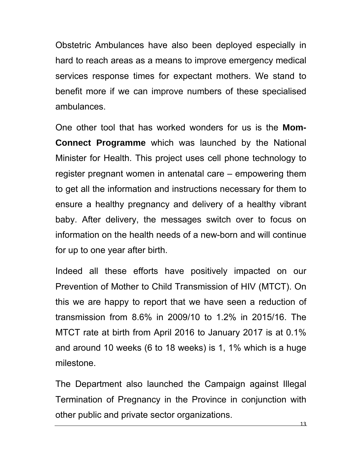Obstetric Ambulances have also been deployed especially in hard to reach areas as a means to improve emergency medical services response times for expectant mothers. We stand to benefit more if we can improve numbers of these specialised ambulances.

One other tool that has worked wonders for us is the **Mom-Connect Programme** which was launched by the National Minister for Health. This project uses cell phone technology to register pregnant women in antenatal care – empowering them to get all the information and instructions necessary for them to ensure a healthy pregnancy and delivery of a healthy vibrant baby. After delivery, the messages switch over to focus on information on the health needs of a new-born and will continue for up to one year after birth.

Indeed all these efforts have positively impacted on our Prevention of Mother to Child Transmission of HIV (MTCT). On this we are happy to report that we have seen a reduction of transmission from 8.6% in 2009/10 to 1.2% in 2015/16. The MTCT rate at birth from April 2016 to January 2017 is at 0.1% and around 10 weeks (6 to 18 weeks) is 1, 1% which is a huge milestone.

The Department also launched the Campaign against Illegal Termination of Pregnancy in the Province in conjunction with other public and private sector organizations.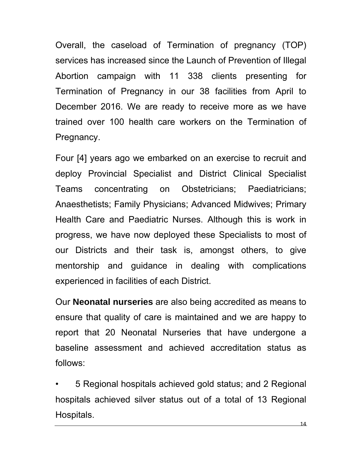Overall, the caseload of Termination of pregnancy (TOP) services has increased since the Launch of Prevention of Illegal Abortion campaign with 11 338 clients presenting for Termination of Pregnancy in our 38 facilities from April to December 2016. We are ready to receive more as we have trained over 100 health care workers on the Termination of Pregnancy.

Four [4] years ago we embarked on an exercise to recruit and deploy Provincial Specialist and District Clinical Specialist Teams concentrating on Obstetricians; Paediatricians; Anaesthetists; Family Physicians; Advanced Midwives; Primary Health Care and Paediatric Nurses. Although this is work in progress, we have now deployed these Specialists to most of our Districts and their task is, amongst others, to give mentorship and guidance in dealing with complications experienced in facilities of each District.

Our **Neonatal nurseries** are also being accredited as means to ensure that quality of care is maintained and we are happy to report that 20 Neonatal Nurseries that have undergone a baseline assessment and achieved accreditation status as follows:

• 5 Regional hospitals achieved gold status; and 2 Regional hospitals achieved silver status out of a total of 13 Regional Hospitals.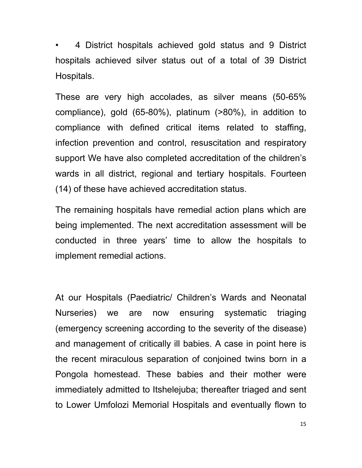• 4 District hospitals achieved gold status and 9 District hospitals achieved silver status out of a total of 39 District Hospitals.

These are very high accolades, as silver means (50-65% compliance), gold (65-80%), platinum (>80%), in addition to compliance with defined critical items related to staffing, infection prevention and control, resuscitation and respiratory support We have also completed accreditation of the children's wards in all district, regional and tertiary hospitals. Fourteen (14) of these have achieved accreditation status.

The remaining hospitals have remedial action plans which are being implemented. The next accreditation assessment will be conducted in three years' time to allow the hospitals to implement remedial actions.

At our Hospitals (Paediatric/ Children's Wards and Neonatal Nurseries) we are now ensuring systematic triaging (emergency screening according to the severity of the disease) and management of critically ill babies. A case in point here is the recent miraculous separation of conjoined twins born in a Pongola homestead. These babies and their mother were immediately admitted to Itshelejuba; thereafter triaged and sent to Lower Umfolozi Memorial Hospitals and eventually flown to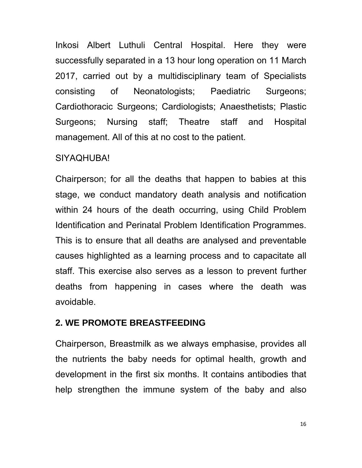Inkosi Albert Luthuli Central Hospital. Here they were successfully separated in a 13 hour long operation on 11 March 2017, carried out by a multidisciplinary team of Specialists consisting of Neonatologists; Paediatric Surgeons; Cardiothoracic Surgeons; Cardiologists; Anaesthetists; Plastic Surgeons; Nursing staff; Theatre staff and Hospital management. All of this at no cost to the patient.

#### SIYAQHUBA!

Chairperson; for all the deaths that happen to babies at this stage, we conduct mandatory death analysis and notification within 24 hours of the death occurring, using Child Problem Identification and Perinatal Problem Identification Programmes. This is to ensure that all deaths are analysed and preventable causes highlighted as a learning process and to capacitate all staff. This exercise also serves as a lesson to prevent further deaths from happening in cases where the death was avoidable.

### **2. WE PROMOTE BREASTFEEDING**

Chairperson, Breastmilk as we always emphasise, provides all the nutrients the baby needs for optimal health, growth and development in the first six months. It contains antibodies that help strengthen the immune system of the baby and also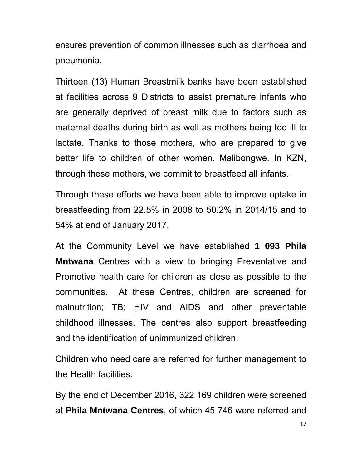ensures prevention of common illnesses such as diarrhoea and pneumonia.

Thirteen (13) Human Breastmilk banks have been established at facilities across 9 Districts to assist premature infants who are generally deprived of breast milk due to factors such as maternal deaths during birth as well as mothers being too ill to lactate. Thanks to those mothers, who are prepared to give better life to children of other women. Malibongwe. In KZN, through these mothers, we commit to breastfeed all infants.

Through these efforts we have been able to improve uptake in breastfeeding from 22.5% in 2008 to 50.2% in 2014/15 and to 54% at end of January 2017.

At the Community Level we have established **1 093 Phila Mntwana** Centres with a view to bringing Preventative and Promotive health care for children as close as possible to the communities. At these Centres, children are screened for malnutrition; TB; HIV and AIDS and other preventable childhood illnesses. The centres also support breastfeeding and the identification of unimmunized children.

Children who need care are referred for further management to the Health facilities.

By the end of December 2016, 322 169 children were screened at **Phila Mntwana Centres**, of which 45 746 were referred and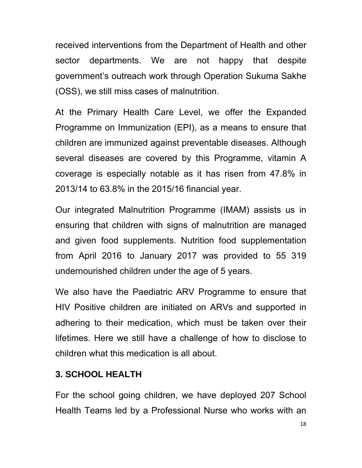received interventions from the Department of Health and other sector departments. We are not happy that despite government's outreach work through Operation Sukuma Sakhe (OSS), we still miss cases of malnutrition.

At the Primary Health Care Level, we offer the Expanded Programme on Immunization (EPI), as a means to ensure that children are immunized against preventable diseases. Although several diseases are covered by this Programme, vitamin A coverage is especially notable as it has risen from 47.8% in 2013/14 to 63.8% in the 2015/16 financial year.

Our integrated Malnutrition Programme (IMAM) assists us in ensuring that children with signs of malnutrition are managed and given food supplements. Nutrition food supplementation from April 2016 to January 2017 was provided to 55 319 undernourished children under the age of 5 years.

We also have the Paediatric ARV Programme to ensure that HIV Positive children are initiated on ARVs and supported in adhering to their medication, which must be taken over their lifetimes. Here we still have a challenge of how to disclose to children what this medication is all about.

### **3. SCHOOL HEALTH**

For the school going children, we have deployed 207 School Health Teams led by a Professional Nurse who works with an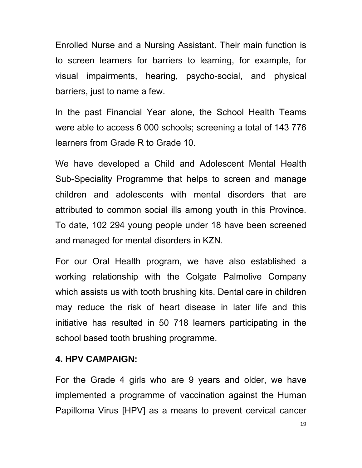Enrolled Nurse and a Nursing Assistant. Their main function is to screen learners for barriers to learning, for example, for visual impairments, hearing, psycho-social, and physical barriers, just to name a few.

In the past Financial Year alone, the School Health Teams were able to access 6 000 schools; screening a total of 143 776 learners from Grade R to Grade 10.

We have developed a Child and Adolescent Mental Health Sub-Speciality Programme that helps to screen and manage children and adolescents with mental disorders that are attributed to common social ills among youth in this Province. To date, 102 294 young people under 18 have been screened and managed for mental disorders in KZN.

For our Oral Health program, we have also established a working relationship with the Colgate Palmolive Company which assists us with tooth brushing kits. Dental care in children may reduce the risk of heart disease in later life and this initiative has resulted in 50 718 learners participating in the school based tooth brushing programme.

#### **4. HPV CAMPAIGN:**

For the Grade 4 girls who are 9 years and older, we have implemented a programme of vaccination against the Human Papilloma Virus [HPV] as a means to prevent cervical cancer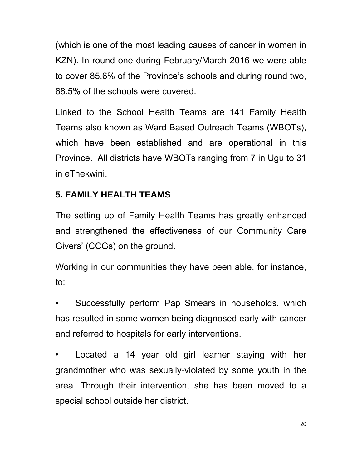(which is one of the most leading causes of cancer in women in KZN). In round one during February/March 2016 we were able to cover 85.6% of the Province's schools and during round two, 68.5% of the schools were covered.

Linked to the School Health Teams are 141 Family Health Teams also known as Ward Based Outreach Teams (WBOTs), which have been established and are operational in this Province. All districts have WBOTs ranging from 7 in Ugu to 31 in eThekwini.

## **5. FAMILY HEALTH TEAMS**

The setting up of Family Health Teams has greatly enhanced and strengthened the effectiveness of our Community Care Givers' (CCGs) on the ground.

Working in our communities they have been able, for instance, to:

Successfully perform Pap Smears in households, which has resulted in some women being diagnosed early with cancer and referred to hospitals for early interventions.

• Located a 14 year old girl learner staying with her grandmother who was sexually-violated by some youth in the area. Through their intervention, she has been moved to a special school outside her district.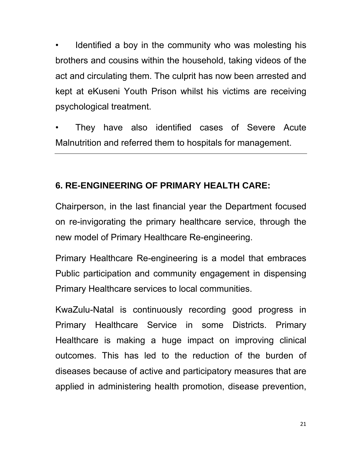Identified a boy in the community who was molesting his brothers and cousins within the household, taking videos of the act and circulating them. The culprit has now been arrested and kept at eKuseni Youth Prison whilst his victims are receiving psychological treatment.

They have also identified cases of Severe Acute Malnutrition and referred them to hospitals for management.

### **6. RE-ENGINEERING OF PRIMARY HEALTH CARE:**

Chairperson, in the last financial year the Department focused on re-invigorating the primary healthcare service, through the new model of Primary Healthcare Re-engineering.

Primary Healthcare Re-engineering is a model that embraces Public participation and community engagement in dispensing Primary Healthcare services to local communities.

KwaZulu-Natal is continuously recording good progress in Primary Healthcare Service in some Districts. Primary Healthcare is making a huge impact on improving clinical outcomes. This has led to the reduction of the burden of diseases because of active and participatory measures that are applied in administering health promotion, disease prevention,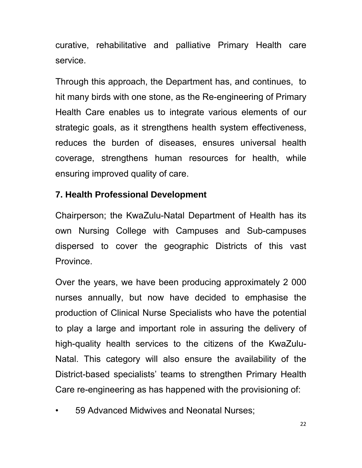curative, rehabilitative and palliative Primary Health care service.

Through this approach, the Department has, and continues, to hit many birds with one stone, as the Re-engineering of Primary Health Care enables us to integrate various elements of our strategic goals, as it strengthens health system effectiveness, reduces the burden of diseases, ensures universal health coverage, strengthens human resources for health, while ensuring improved quality of care.

### **7. Health Professional Development**

Chairperson; the KwaZulu-Natal Department of Health has its own Nursing College with Campuses and Sub-campuses dispersed to cover the geographic Districts of this vast Province.

Over the years, we have been producing approximately 2 000 nurses annually, but now have decided to emphasise the production of Clinical Nurse Specialists who have the potential to play a large and important role in assuring the delivery of high-quality health services to the citizens of the KwaZulu-Natal. This category will also ensure the availability of the District-based specialists' teams to strengthen Primary Health Care re-engineering as has happened with the provisioning of:

• 59 Advanced Midwives and Neonatal Nurses;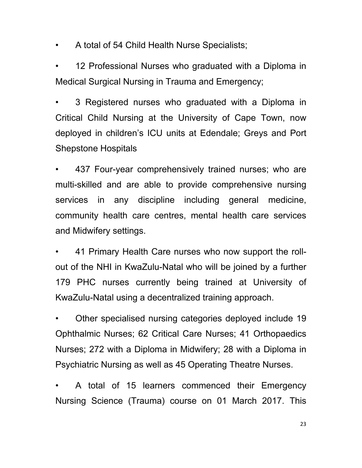• A total of 54 Child Health Nurse Specialists;

12 Professional Nurses who graduated with a Diploma in Medical Surgical Nursing in Trauma and Emergency;

• 3 Registered nurses who graduated with a Diploma in Critical Child Nursing at the University of Cape Town, now deployed in children's ICU units at Edendale; Greys and Port Shepstone Hospitals

437 Four-year comprehensively trained nurses; who are multi-skilled and are able to provide comprehensive nursing services in any discipline including general medicine, community health care centres, mental health care services and Midwifery settings.

• 41 Primary Health Care nurses who now support the rollout of the NHI in KwaZulu-Natal who will be joined by a further 179 PHC nurses currently being trained at University of KwaZulu-Natal using a decentralized training approach.

• Other specialised nursing categories deployed include 19 Ophthalmic Nurses; 62 Critical Care Nurses; 41 Orthopaedics Nurses; 272 with a Diploma in Midwifery; 28 with a Diploma in Psychiatric Nursing as well as 45 Operating Theatre Nurses.

A total of 15 learners commenced their Emergency Nursing Science (Trauma) course on 01 March 2017. This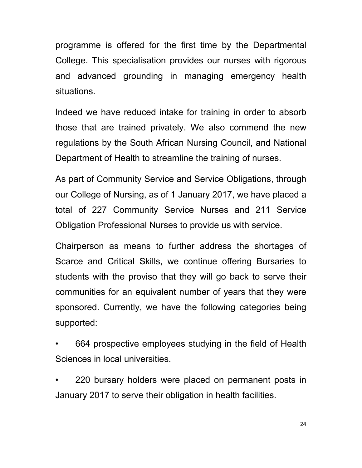programme is offered for the first time by the Departmental College. This specialisation provides our nurses with rigorous and advanced grounding in managing emergency health situations.

Indeed we have reduced intake for training in order to absorb those that are trained privately. We also commend the new regulations by the South African Nursing Council, and National Department of Health to streamline the training of nurses.

As part of Community Service and Service Obligations, through our College of Nursing, as of 1 January 2017, we have placed a total of 227 Community Service Nurses and 211 Service Obligation Professional Nurses to provide us with service.

Chairperson as means to further address the shortages of Scarce and Critical Skills, we continue offering Bursaries to students with the proviso that they will go back to serve their communities for an equivalent number of years that they were sponsored. Currently, we have the following categories being supported:

• 664 prospective employees studying in the field of Health Sciences in local universities.

• 220 bursary holders were placed on permanent posts in January 2017 to serve their obligation in health facilities.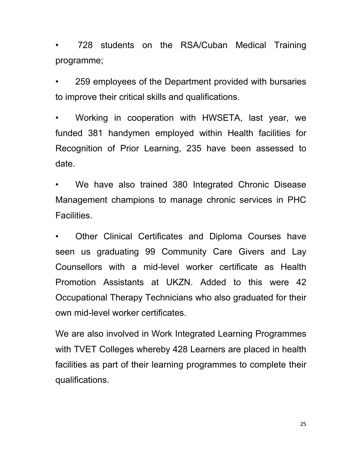• 728 students on the RSA/Cuban Medical Training programme;

• 259 employees of the Department provided with bursaries to improve their critical skills and qualifications.

• Working in cooperation with HWSETA, last year, we funded 381 handymen employed within Health facilities for Recognition of Prior Learning, 235 have been assessed to date.

We have also trained 380 Integrated Chronic Disease Management champions to manage chronic services in PHC Facilities.

Other Clinical Certificates and Diploma Courses have seen us graduating 99 Community Care Givers and Lay Counsellors with a mid-level worker certificate as Health Promotion Assistants at UKZN. Added to this were 42 Occupational Therapy Technicians who also graduated for their own mid-level worker certificates.

We are also involved in Work Integrated Learning Programmes with TVET Colleges whereby 428 Learners are placed in health facilities as part of their learning programmes to complete their qualifications.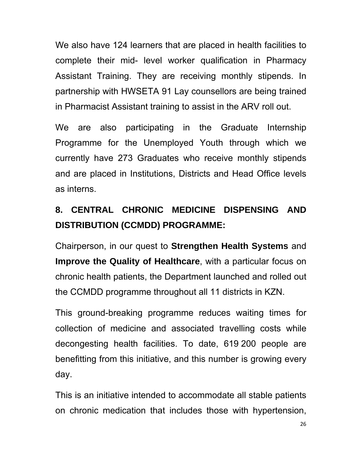We also have 124 learners that are placed in health facilities to complete their mid- level worker qualification in Pharmacy Assistant Training. They are receiving monthly stipends. In partnership with HWSETA 91 Lay counsellors are being trained in Pharmacist Assistant training to assist in the ARV roll out.

We are also participating in the Graduate Internship Programme for the Unemployed Youth through which we currently have 273 Graduates who receive monthly stipends and are placed in Institutions, Districts and Head Office levels as interns.

# **8. CENTRAL CHRONIC MEDICINE DISPENSING AND DISTRIBUTION (CCMDD) PROGRAMME:**

Chairperson, in our quest to **Strengthen Health Systems** and **Improve the Quality of Healthcare**, with a particular focus on chronic health patients, the Department launched and rolled out the CCMDD programme throughout all 11 districts in KZN.

This ground-breaking programme reduces waiting times for collection of medicine and associated travelling costs while decongesting health facilities. To date, 619 200 people are benefitting from this initiative, and this number is growing every day.

This is an initiative intended to accommodate all stable patients on chronic medication that includes those with hypertension,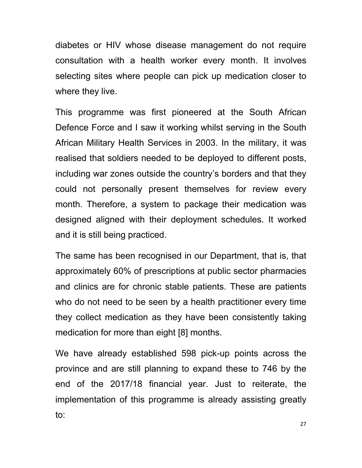diabetes or HIV whose disease management do not require consultation with a health worker every month. It involves selecting sites where people can pick up medication closer to where they live.

This programme was first pioneered at the South African Defence Force and I saw it working whilst serving in the South African Military Health Services in 2003. In the military, it was realised that soldiers needed to be deployed to different posts, including war zones outside the country's borders and that they could not personally present themselves for review every month. Therefore, a system to package their medication was designed aligned with their deployment schedules. It worked and it is still being practiced.

The same has been recognised in our Department, that is, that approximately 60% of prescriptions at public sector pharmacies and clinics are for chronic stable patients. These are patients who do not need to be seen by a health practitioner every time they collect medication as they have been consistently taking medication for more than eight [8] months.

We have already established 598 pick-up points across the province and are still planning to expand these to 746 by the end of the 2017/18 financial year. Just to reiterate, the implementation of this programme is already assisting greatly to: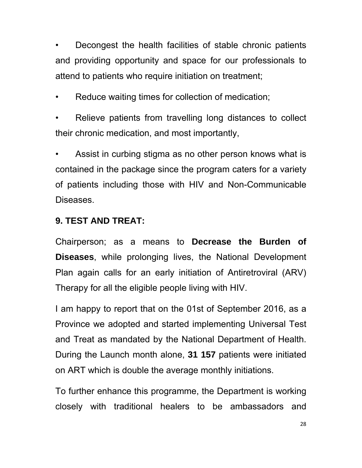• Decongest the health facilities of stable chronic patients and providing opportunity and space for our professionals to attend to patients who require initiation on treatment;

Reduce waiting times for collection of medication;

Relieve patients from travelling long distances to collect their chronic medication, and most importantly,

Assist in curbing stigma as no other person knows what is contained in the package since the program caters for a variety of patients including those with HIV and Non-Communicable Diseases.

### **9. TEST AND TREAT:**

Chairperson; as a means to **Decrease the Burden of Diseases**, while prolonging lives, the National Development Plan again calls for an early initiation of Antiretroviral (ARV) Therapy for all the eligible people living with HIV.

I am happy to report that on the 01st of September 2016, as a Province we adopted and started implementing Universal Test and Treat as mandated by the National Department of Health. During the Launch month alone, **31 157** patients were initiated on ART which is double the average monthly initiations.

To further enhance this programme, the Department is working closely with traditional healers to be ambassadors and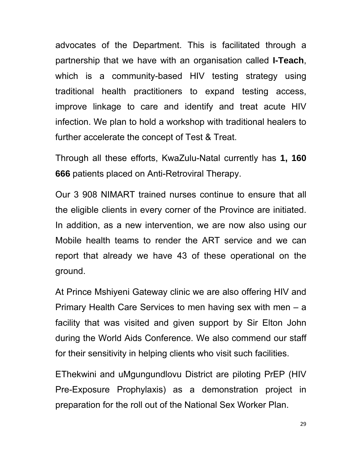advocates of the Department. This is facilitated through a partnership that we have with an organisation called **I-Teach**, which is a community-based HIV testing strategy using traditional health practitioners to expand testing access, improve linkage to care and identify and treat acute HIV infection. We plan to hold a workshop with traditional healers to further accelerate the concept of Test & Treat.

Through all these efforts, KwaZulu-Natal currently has **1, 160 666** patients placed on Anti-Retroviral Therapy.

Our 3 908 NIMART trained nurses continue to ensure that all the eligible clients in every corner of the Province are initiated. In addition, as a new intervention, we are now also using our Mobile health teams to render the ART service and we can report that already we have 43 of these operational on the ground.

At Prince Mshiyeni Gateway clinic we are also offering HIV and Primary Health Care Services to men having sex with men – a facility that was visited and given support by Sir Elton John during the World Aids Conference. We also commend our staff for their sensitivity in helping clients who visit such facilities.

EThekwini and uMgungundlovu District are piloting PrEP (HIV Pre-Exposure Prophylaxis) as a demonstration project in preparation for the roll out of the National Sex Worker Plan.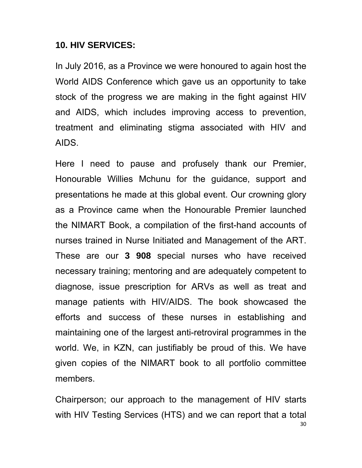#### **10. HIV SERVICES:**

In July 2016, as a Province we were honoured to again host the World AIDS Conference which gave us an opportunity to take stock of the progress we are making in the fight against HIV and AIDS, which includes improving access to prevention, treatment and eliminating stigma associated with HIV and AIDS.

Here I need to pause and profusely thank our Premier, Honourable Willies Mchunu for the guidance, support and presentations he made at this global event. Our crowning glory as a Province came when the Honourable Premier launched the NIMART Book, a compilation of the first-hand accounts of nurses trained in Nurse Initiated and Management of the ART. These are our **3 908** special nurses who have received necessary training; mentoring and are adequately competent to diagnose, issue prescription for ARVs as well as treat and manage patients with HIV/AIDS. The book showcased the efforts and success of these nurses in establishing and maintaining one of the largest anti-retroviral programmes in the world. We, in KZN, can justifiably be proud of this. We have given copies of the NIMART book to all portfolio committee members.

30 Chairperson; our approach to the management of HIV starts with HIV Testing Services (HTS) and we can report that a total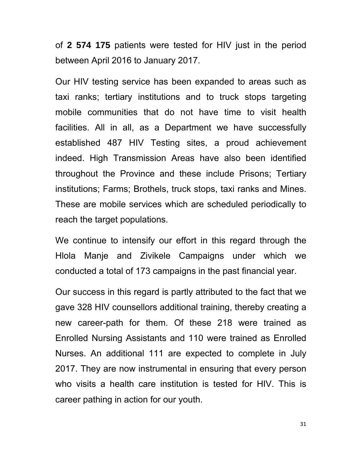of **2 574 175** patients were tested for HIV just in the period between April 2016 to January 2017.

Our HIV testing service has been expanded to areas such as taxi ranks; tertiary institutions and to truck stops targeting mobile communities that do not have time to visit health facilities. All in all, as a Department we have successfully established 487 HIV Testing sites, a proud achievement indeed. High Transmission Areas have also been identified throughout the Province and these include Prisons; Tertiary institutions; Farms; Brothels, truck stops, taxi ranks and Mines. These are mobile services which are scheduled periodically to reach the target populations.

We continue to intensify our effort in this regard through the Hlola Manje and Zivikele Campaigns under which we conducted a total of 173 campaigns in the past financial year.

Our success in this regard is partly attributed to the fact that we gave 328 HIV counsellors additional training, thereby creating a new career-path for them. Of these 218 were trained as Enrolled Nursing Assistants and 110 were trained as Enrolled Nurses. An additional 111 are expected to complete in July 2017. They are now instrumental in ensuring that every person who visits a health care institution is tested for HIV. This is career pathing in action for our youth.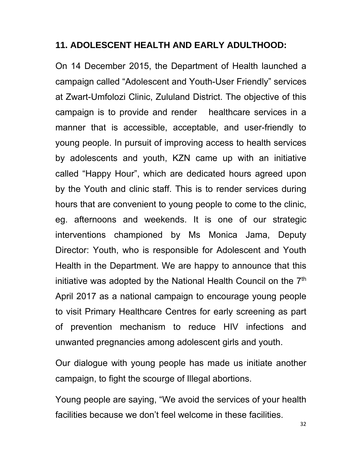#### **11. ADOLESCENT HEALTH AND EARLY ADULTHOOD:**

On 14 December 2015, the Department of Health launched a campaign called "Adolescent and Youth-User Friendly" services at Zwart-Umfolozi Clinic, Zululand District. The objective of this campaign is to provide and render healthcare services in a manner that is accessible, acceptable, and user-friendly to young people. In pursuit of improving access to health services by adolescents and youth, KZN came up with an initiative called "Happy Hour", which are dedicated hours agreed upon by the Youth and clinic staff. This is to render services during hours that are convenient to young people to come to the clinic, eg. afternoons and weekends. It is one of our strategic interventions championed by Ms Monica Jama, Deputy Director: Youth, who is responsible for Adolescent and Youth Health in the Department. We are happy to announce that this initiative was adopted by the National Health Council on the 7<sup>th</sup> April 2017 as a national campaign to encourage young people to visit Primary Healthcare Centres for early screening as part of prevention mechanism to reduce HIV infections and unwanted pregnancies among adolescent girls and youth.

Our dialogue with young people has made us initiate another campaign, to fight the scourge of Illegal abortions.

Young people are saying, "We avoid the services of your health facilities because we don't feel welcome in these facilities.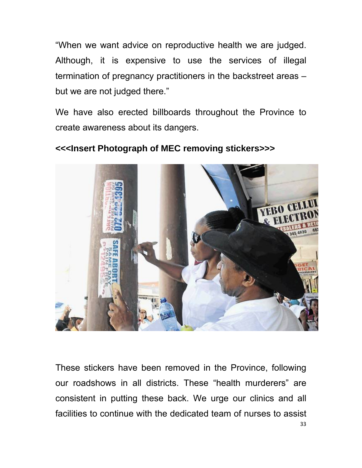"When we want advice on reproductive health we are judged. Although, it is expensive to use the services of illegal termination of pregnancy practitioners in the backstreet areas – but we are not judged there."

We have also erected billboards throughout the Province to create awareness about its dangers.



**<<<Insert Photograph of MEC removing stickers>>>** 

33 These stickers have been removed in the Province, following our roadshows in all districts. These "health murderers" are consistent in putting these back. We urge our clinics and all facilities to continue with the dedicated team of nurses to assist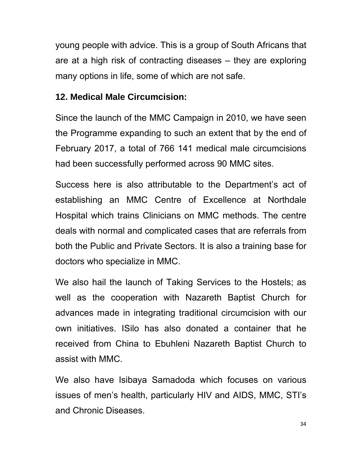young people with advice. This is a group of South Africans that are at a high risk of contracting diseases – they are exploring many options in life, some of which are not safe.

### **12. Medical Male Circumcision:**

Since the launch of the MMC Campaign in 2010, we have seen the Programme expanding to such an extent that by the end of February 2017, a total of 766 141 medical male circumcisions had been successfully performed across 90 MMC sites.

Success here is also attributable to the Department's act of establishing an MMC Centre of Excellence at Northdale Hospital which trains Clinicians on MMC methods. The centre deals with normal and complicated cases that are referrals from both the Public and Private Sectors. It is also a training base for doctors who specialize in MMC.

We also hail the launch of Taking Services to the Hostels; as well as the cooperation with Nazareth Baptist Church for advances made in integrating traditional circumcision with our own initiatives. ISilo has also donated a container that he received from China to Ebuhleni Nazareth Baptist Church to assist with MMC.

We also have Isibaya Samadoda which focuses on various issues of men's health, particularly HIV and AIDS, MMC, STI's and Chronic Diseases.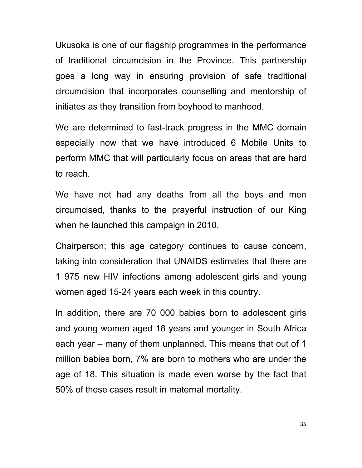Ukusoka is one of our flagship programmes in the performance of traditional circumcision in the Province. This partnership goes a long way in ensuring provision of safe traditional circumcision that incorporates counselling and mentorship of initiates as they transition from boyhood to manhood.

We are determined to fast-track progress in the MMC domain especially now that we have introduced 6 Mobile Units to perform MMC that will particularly focus on areas that are hard to reach.

We have not had any deaths from all the boys and men circumcised, thanks to the prayerful instruction of our King when he launched this campaign in 2010.

Chairperson; this age category continues to cause concern, taking into consideration that UNAIDS estimates that there are 1 975 new HIV infections among adolescent girls and young women aged 15-24 years each week in this country.

In addition, there are 70 000 babies born to adolescent girls and young women aged 18 years and younger in South Africa each year – many of them unplanned. This means that out of 1 million babies born, 7% are born to mothers who are under the age of 18. This situation is made even worse by the fact that 50% of these cases result in maternal mortality.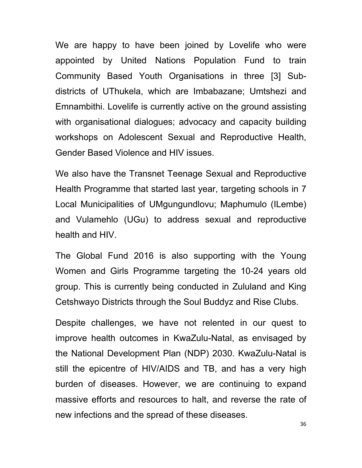We are happy to have been joined by Lovelife who were appointed by United Nations Population Fund to train Community Based Youth Organisations in three [3] Subdistricts of UThukela, which are Imbabazane; Umtshezi and Emnambithi. Lovelife is currently active on the ground assisting with organisational dialogues; advocacy and capacity building workshops on Adolescent Sexual and Reproductive Health, Gender Based Violence and HIV issues.

We also have the Transnet Teenage Sexual and Reproductive Health Programme that started last year, targeting schools in 7 Local Municipalities of UMgungundlovu; Maphumulo (ILembe) and Vulamehlo (UGu) to address sexual and reproductive health and HIV.

The Global Fund 2016 is also supporting with the Young Women and Girls Programme targeting the 10-24 years old group. This is currently being conducted in Zululand and King Cetshwayo Districts through the Soul Buddyz and Rise Clubs.

Despite challenges, we have not relented in our quest to improve health outcomes in KwaZulu-Natal, as envisaged by the National Development Plan (NDP) 2030. KwaZulu-Natal is still the epicentre of HIV/AIDS and TB, and has a very high burden of diseases. However, we are continuing to expand massive efforts and resources to halt, and reverse the rate of new infections and the spread of these diseases.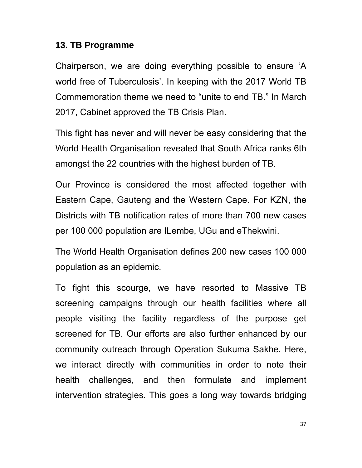#### **13. TB Programme**

Chairperson, we are doing everything possible to ensure 'A world free of Tuberculosis'. In keeping with the 2017 World TB Commemoration theme we need to "unite to end TB." In March 2017, Cabinet approved the TB Crisis Plan.

This fight has never and will never be easy considering that the World Health Organisation revealed that South Africa ranks 6th amongst the 22 countries with the highest burden of TB.

Our Province is considered the most affected together with Eastern Cape, Gauteng and the Western Cape. For KZN, the Districts with TB notification rates of more than 700 new cases per 100 000 population are ILembe, UGu and eThekwini.

The World Health Organisation defines 200 new cases 100 000 population as an epidemic.

To fight this scourge, we have resorted to Massive TB screening campaigns through our health facilities where all people visiting the facility regardless of the purpose get screened for TB. Our efforts are also further enhanced by our community outreach through Operation Sukuma Sakhe. Here, we interact directly with communities in order to note their health challenges, and then formulate and implement intervention strategies. This goes a long way towards bridging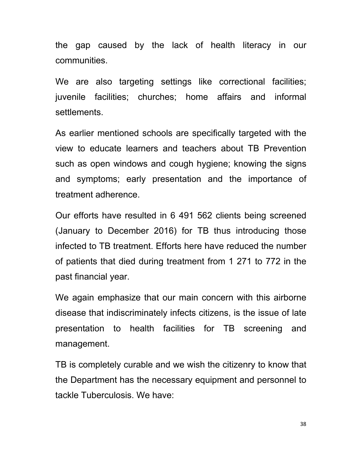the gap caused by the lack of health literacy in our communities.

We are also targeting settings like correctional facilities; juvenile facilities; churches; home affairs and informal settlements.

As earlier mentioned schools are specifically targeted with the view to educate learners and teachers about TB Prevention such as open windows and cough hygiene; knowing the signs and symptoms; early presentation and the importance of treatment adherence.

Our efforts have resulted in 6 491 562 clients being screened (January to December 2016) for TB thus introducing those infected to TB treatment. Efforts here have reduced the number of patients that died during treatment from 1 271 to 772 in the past financial year.

We again emphasize that our main concern with this airborne disease that indiscriminately infects citizens, is the issue of late presentation to health facilities for TB screening and management.

TB is completely curable and we wish the citizenry to know that the Department has the necessary equipment and personnel to tackle Tuberculosis. We have: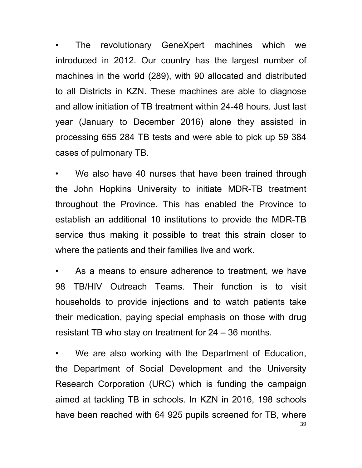• The revolutionary GeneXpert machines which we introduced in 2012. Our country has the largest number of machines in the world (289), with 90 allocated and distributed to all Districts in KZN. These machines are able to diagnose and allow initiation of TB treatment within 24-48 hours. Just last year (January to December 2016) alone they assisted in processing 655 284 TB tests and were able to pick up 59 384 cases of pulmonary TB.

We also have 40 nurses that have been trained through the John Hopkins University to initiate MDR-TB treatment throughout the Province. This has enabled the Province to establish an additional 10 institutions to provide the MDR-TB service thus making it possible to treat this strain closer to where the patients and their families live and work.

As a means to ensure adherence to treatment, we have 98 TB/HIV Outreach Teams. Their function is to visit households to provide injections and to watch patients take their medication, paying special emphasis on those with drug resistant TB who stay on treatment for 24 – 36 months.

39 • We are also working with the Department of Education, the Department of Social Development and the University Research Corporation (URC) which is funding the campaign aimed at tackling TB in schools. In KZN in 2016, 198 schools have been reached with 64 925 pupils screened for TB, where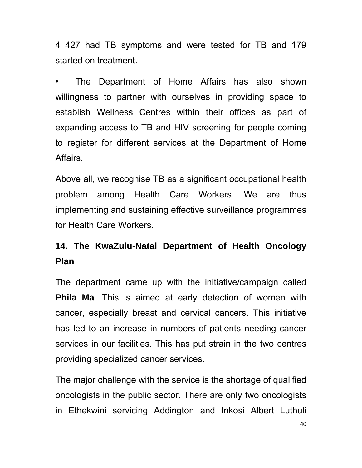4 427 had TB symptoms and were tested for TB and 179 started on treatment.

• The Department of Home Affairs has also shown willingness to partner with ourselves in providing space to establish Wellness Centres within their offices as part of expanding access to TB and HIV screening for people coming to register for different services at the Department of Home Affairs.

Above all, we recognise TB as a significant occupational health problem among Health Care Workers. We are thus implementing and sustaining effective surveillance programmes for Health Care Workers.

## **14. The KwaZulu-Natal Department of Health Oncology Plan**

The department came up with the initiative/campaign called **Phila Ma**. This is aimed at early detection of women with cancer, especially breast and cervical cancers. This initiative has led to an increase in numbers of patients needing cancer services in our facilities. This has put strain in the two centres providing specialized cancer services.

The major challenge with the service is the shortage of qualified oncologists in the public sector. There are only two oncologists in Ethekwini servicing Addington and Inkosi Albert Luthuli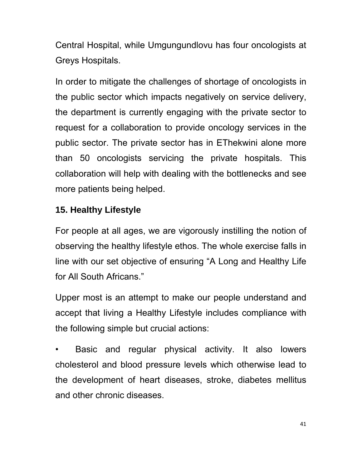Central Hospital, while Umgungundlovu has four oncologists at Greys Hospitals.

In order to mitigate the challenges of shortage of oncologists in the public sector which impacts negatively on service delivery, the department is currently engaging with the private sector to request for a collaboration to provide oncology services in the public sector. The private sector has in EThekwini alone more than 50 oncologists servicing the private hospitals. This collaboration will help with dealing with the bottlenecks and see more patients being helped.

## **15. Healthy Lifestyle**

For people at all ages, we are vigorously instilling the notion of observing the healthy lifestyle ethos. The whole exercise falls in line with our set objective of ensuring "A Long and Healthy Life for All South Africans."

Upper most is an attempt to make our people understand and accept that living a Healthy Lifestyle includes compliance with the following simple but crucial actions:

Basic and regular physical activity. It also lowers cholesterol and blood pressure levels which otherwise lead to the development of heart diseases, stroke, diabetes mellitus and other chronic diseases.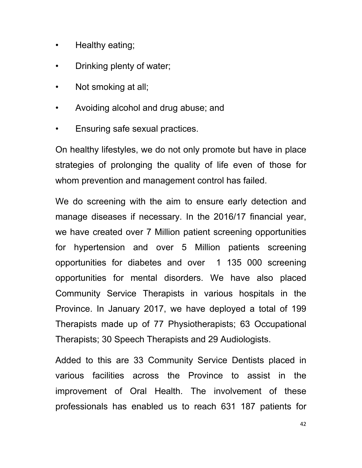- Healthy eating;
- Drinking plenty of water;
- Not smoking at all;
- Avoiding alcohol and drug abuse; and
- Ensuring safe sexual practices.

On healthy lifestyles, we do not only promote but have in place strategies of prolonging the quality of life even of those for whom prevention and management control has failed.

We do screening with the aim to ensure early detection and manage diseases if necessary. In the 2016/17 financial year, we have created over 7 Million patient screening opportunities for hypertension and over 5 Million patients screening opportunities for diabetes and over 1 135 000 screening opportunities for mental disorders. We have also placed Community Service Therapists in various hospitals in the Province. In January 2017, we have deployed a total of 199 Therapists made up of 77 Physiotherapists; 63 Occupational Therapists; 30 Speech Therapists and 29 Audiologists.

Added to this are 33 Community Service Dentists placed in various facilities across the Province to assist in the improvement of Oral Health. The involvement of these professionals has enabled us to reach 631 187 patients for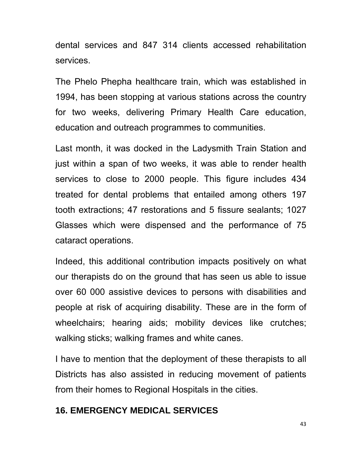dental services and 847 314 clients accessed rehabilitation services.

The Phelo Phepha healthcare train, which was established in 1994, has been stopping at various stations across the country for two weeks, delivering Primary Health Care education, education and outreach programmes to communities.

Last month, it was docked in the Ladysmith Train Station and just within a span of two weeks, it was able to render health services to close to 2000 people. This figure includes 434 treated for dental problems that entailed among others 197 tooth extractions; 47 restorations and 5 fissure sealants; 1027 Glasses which were dispensed and the performance of 75 cataract operations.

Indeed, this additional contribution impacts positively on what our therapists do on the ground that has seen us able to issue over 60 000 assistive devices to persons with disabilities and people at risk of acquiring disability. These are in the form of wheelchairs; hearing aids; mobility devices like crutches; walking sticks; walking frames and white canes.

I have to mention that the deployment of these therapists to all Districts has also assisted in reducing movement of patients from their homes to Regional Hospitals in the cities.

#### **16. EMERGENCY MEDICAL SERVICES**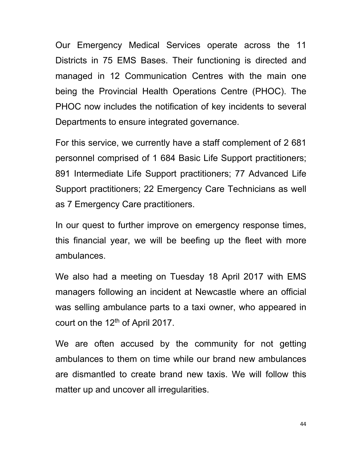Our Emergency Medical Services operate across the 11 Districts in 75 EMS Bases. Their functioning is directed and managed in 12 Communication Centres with the main one being the Provincial Health Operations Centre (PHOC). The PHOC now includes the notification of key incidents to several Departments to ensure integrated governance.

For this service, we currently have a staff complement of 2 681 personnel comprised of 1 684 Basic Life Support practitioners; 891 Intermediate Life Support practitioners; 77 Advanced Life Support practitioners; 22 Emergency Care Technicians as well as 7 Emergency Care practitioners.

In our quest to further improve on emergency response times, this financial year, we will be beefing up the fleet with more ambulances.

We also had a meeting on Tuesday 18 April 2017 with EMS managers following an incident at Newcastle where an official was selling ambulance parts to a taxi owner, who appeared in court on the 12<sup>th</sup> of April 2017.

We are often accused by the community for not getting ambulances to them on time while our brand new ambulances are dismantled to create brand new taxis. We will follow this matter up and uncover all irregularities.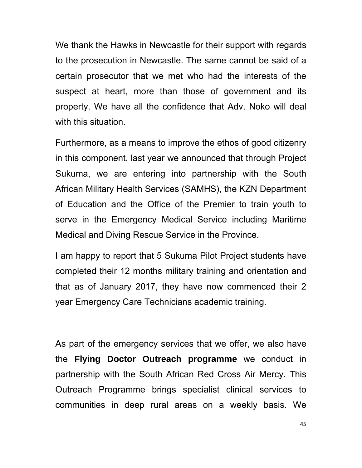We thank the Hawks in Newcastle for their support with regards to the prosecution in Newcastle. The same cannot be said of a certain prosecutor that we met who had the interests of the suspect at heart, more than those of government and its property. We have all the confidence that Adv. Noko will deal with this situation.

Furthermore, as a means to improve the ethos of good citizenry in this component, last year we announced that through Project Sukuma, we are entering into partnership with the South African Military Health Services (SAMHS), the KZN Department of Education and the Office of the Premier to train youth to serve in the Emergency Medical Service including Maritime Medical and Diving Rescue Service in the Province.

I am happy to report that 5 Sukuma Pilot Project students have completed their 12 months military training and orientation and that as of January 2017, they have now commenced their 2 year Emergency Care Technicians academic training.

As part of the emergency services that we offer, we also have the **Flying Doctor Outreach programme** we conduct in partnership with the South African Red Cross Air Mercy. This Outreach Programme brings specialist clinical services to communities in deep rural areas on a weekly basis. We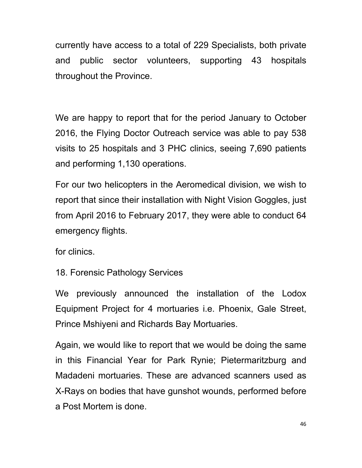currently have access to a total of 229 Specialists, both private and public sector volunteers, supporting 43 hospitals throughout the Province.

We are happy to report that for the period January to October 2016, the Flying Doctor Outreach service was able to pay 538 visits to 25 hospitals and 3 PHC clinics, seeing 7,690 patients and performing 1,130 operations.

For our two helicopters in the Aeromedical division, we wish to report that since their installation with Night Vision Goggles, just from April 2016 to February 2017, they were able to conduct 64 emergency flights.

for clinics.

18. Forensic Pathology Services

We previously announced the installation of the Lodox Equipment Project for 4 mortuaries i.e. Phoenix, Gale Street, Prince Mshiyeni and Richards Bay Mortuaries.

Again, we would like to report that we would be doing the same in this Financial Year for Park Rynie; Pietermaritzburg and Madadeni mortuaries. These are advanced scanners used as X-Rays on bodies that have gunshot wounds, performed before a Post Mortem is done.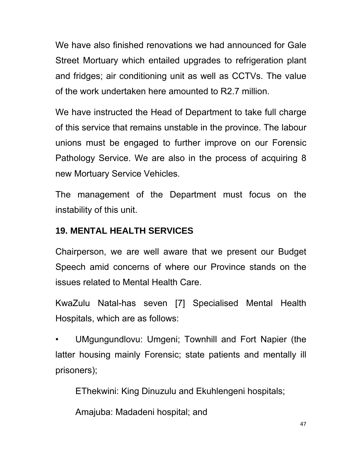We have also finished renovations we had announced for Gale Street Mortuary which entailed upgrades to refrigeration plant and fridges; air conditioning unit as well as CCTVs. The value of the work undertaken here amounted to R2.7 million.

We have instructed the Head of Department to take full charge of this service that remains unstable in the province. The labour unions must be engaged to further improve on our Forensic Pathology Service. We are also in the process of acquiring 8 new Mortuary Service Vehicles.

The management of the Department must focus on the instability of this unit.

## **19. MENTAL HEALTH SERVICES**

Chairperson, we are well aware that we present our Budget Speech amid concerns of where our Province stands on the issues related to Mental Health Care.

KwaZulu Natal-has seven [7] Specialised Mental Health Hospitals, which are as follows:

• UMgungundlovu: Umgeni; Townhill and Fort Napier (the latter housing mainly Forensic; state patients and mentally ill prisoners);

EThekwini: King Dinuzulu and Ekuhlengeni hospitals;

Amajuba: Madadeni hospital; and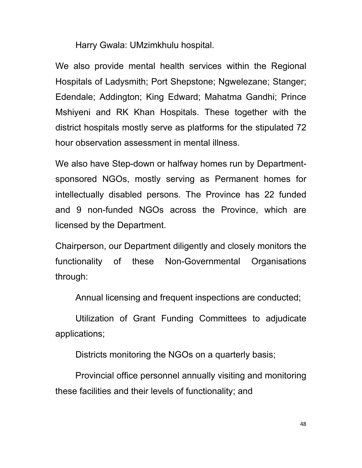Harry Gwala: UMzimkhulu hospital.

We also provide mental health services within the Regional Hospitals of Ladysmith; Port Shepstone; Ngwelezane; Stanger; Edendale; Addington; King Edward; Mahatma Gandhi; Prince Mshiyeni and RK Khan Hospitals. These together with the district hospitals mostly serve as platforms for the stipulated 72 hour observation assessment in mental illness.

We also have Step-down or halfway homes run by Departmentsponsored NGOs, mostly serving as Permanent homes for intellectually disabled persons. The Province has 22 funded and 9 non-funded NGOs across the Province, which are licensed by the Department.

Chairperson, our Department diligently and closely monitors the functionality of these Non-Governmental Organisations through:

Annual licensing and frequent inspections are conducted;

 Utilization of Grant Funding Committees to adjudicate applications;

Districts monitoring the NGOs on a quarterly basis;

 Provincial office personnel annually visiting and monitoring these facilities and their levels of functionality; and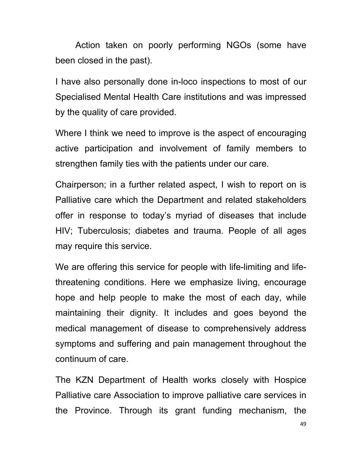Action taken on poorly performing NGOs (some have been closed in the past).

I have also personally done in-loco inspections to most of our Specialised Mental Health Care institutions and was impressed by the quality of care provided.

Where I think we need to improve is the aspect of encouraging active participation and involvement of family members to strengthen family ties with the patients under our care.

Chairperson; in a further related aspect, I wish to report on is Palliative care which the Department and related stakeholders offer in response to today's myriad of diseases that include HIV; Tuberculosis; diabetes and trauma. People of all ages may require this service.

We are offering this service for people with life-limiting and lifethreatening conditions. Here we emphasize living, encourage hope and help people to make the most of each day, while maintaining their dignity. It includes and goes beyond the medical management of disease to comprehensively address symptoms and suffering and pain management throughout the continuum of care.

The KZN Department of Health works closely with Hospice Palliative care Association to improve palliative care services in the Province. Through its grant funding mechanism, the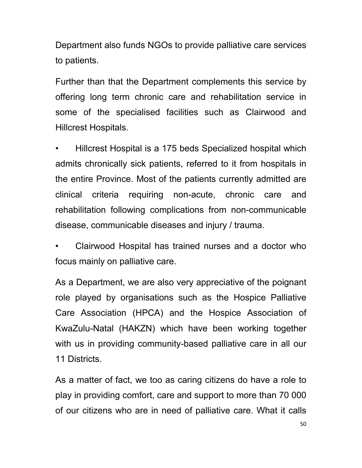Department also funds NGOs to provide palliative care services to patients.

Further than that the Department complements this service by offering long term chronic care and rehabilitation service in some of the specialised facilities such as Clairwood and Hillcrest Hospitals.

• Hillcrest Hospital is a 175 beds Specialized hospital which admits chronically sick patients, referred to it from hospitals in the entire Province. Most of the patients currently admitted are clinical criteria requiring non-acute, chronic care and rehabilitation following complications from non-communicable disease, communicable diseases and injury / trauma.

• Clairwood Hospital has trained nurses and a doctor who focus mainly on palliative care.

As a Department, we are also very appreciative of the poignant role played by organisations such as the Hospice Palliative Care Association (HPCA) and the Hospice Association of KwaZulu-Natal (HAKZN) which have been working together with us in providing community-based palliative care in all our 11 Districts.

As a matter of fact, we too as caring citizens do have a role to play in providing comfort, care and support to more than 70 000 of our citizens who are in need of palliative care. What it calls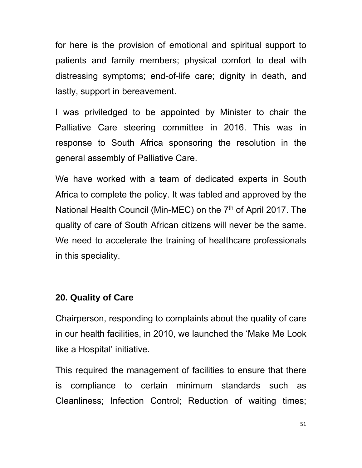for here is the provision of emotional and spiritual support to patients and family members; physical comfort to deal with distressing symptoms; end-of-life care; dignity in death, and lastly, support in bereavement.

I was priviledged to be appointed by Minister to chair the Palliative Care steering committee in 2016. This was in response to South Africa sponsoring the resolution in the general assembly of Palliative Care.

We have worked with a team of dedicated experts in South Africa to complete the policy. It was tabled and approved by the National Health Council (Min-MEC) on the 7<sup>th</sup> of April 2017. The quality of care of South African citizens will never be the same. We need to accelerate the training of healthcare professionals in this speciality.

#### **20. Quality of Care**

Chairperson, responding to complaints about the quality of care in our health facilities, in 2010, we launched the 'Make Me Look like a Hospital' initiative.

This required the management of facilities to ensure that there is compliance to certain minimum standards such as Cleanliness; Infection Control; Reduction of waiting times;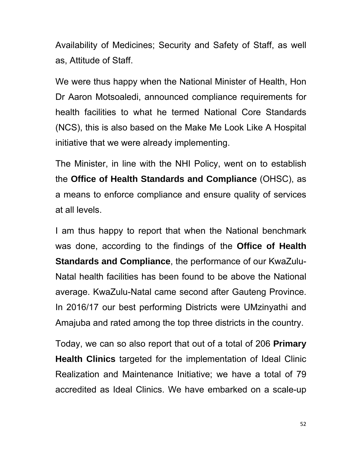Availability of Medicines; Security and Safety of Staff, as well as, Attitude of Staff.

We were thus happy when the National Minister of Health, Hon Dr Aaron Motsoaledi, announced compliance requirements for health facilities to what he termed National Core Standards (NCS), this is also based on the Make Me Look Like A Hospital initiative that we were already implementing.

The Minister, in line with the NHI Policy, went on to establish the **Office of Health Standards and Compliance** (OHSC), as a means to enforce compliance and ensure quality of services at all levels.

I am thus happy to report that when the National benchmark was done, according to the findings of the **Office of Health Standards and Compliance**, the performance of our KwaZulu-Natal health facilities has been found to be above the National average. KwaZulu-Natal came second after Gauteng Province. In 2016/17 our best performing Districts were UMzinyathi and Amajuba and rated among the top three districts in the country.

Today, we can so also report that out of a total of 206 **Primary Health Clinics** targeted for the implementation of Ideal Clinic Realization and Maintenance Initiative; we have a total of 79 accredited as Ideal Clinics. We have embarked on a scale-up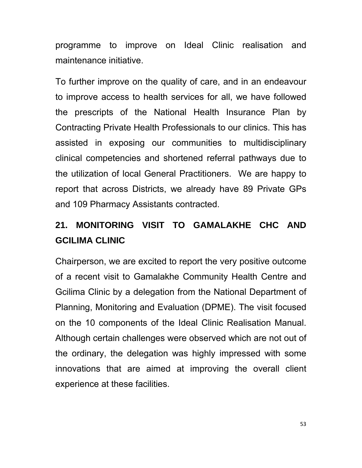programme to improve on Ideal Clinic realisation and maintenance initiative.

To further improve on the quality of care, and in an endeavour to improve access to health services for all, we have followed the prescripts of the National Health Insurance Plan by Contracting Private Health Professionals to our clinics. This has assisted in exposing our communities to multidisciplinary clinical competencies and shortened referral pathways due to the utilization of local General Practitioners. We are happy to report that across Districts, we already have 89 Private GPs and 109 Pharmacy Assistants contracted.

# **21. MONITORING VISIT TO GAMALAKHE CHC AND GCILIMA CLINIC**

Chairperson, we are excited to report the very positive outcome of a recent visit to Gamalakhe Community Health Centre and Gcilima Clinic by a delegation from the National Department of Planning, Monitoring and Evaluation (DPME). The visit focused on the 10 components of the Ideal Clinic Realisation Manual. Although certain challenges were observed which are not out of the ordinary, the delegation was highly impressed with some innovations that are aimed at improving the overall client experience at these facilities.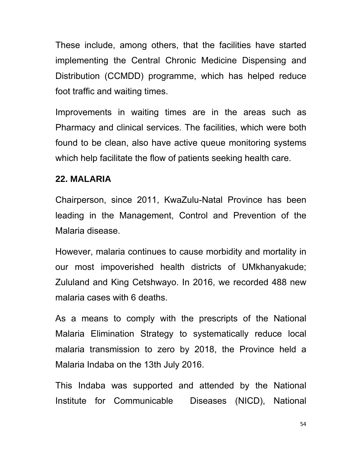These include, among others, that the facilities have started implementing the Central Chronic Medicine Dispensing and Distribution (CCMDD) programme, which has helped reduce foot traffic and waiting times.

Improvements in waiting times are in the areas such as Pharmacy and clinical services. The facilities, which were both found to be clean, also have active queue monitoring systems which help facilitate the flow of patients seeking health care.

#### **22. MALARIA**

Chairperson, since 2011, KwaZulu-Natal Province has been leading in the Management, Control and Prevention of the Malaria disease.

However, malaria continues to cause morbidity and mortality in our most impoverished health districts of UMkhanyakude; Zululand and King Cetshwayo. In 2016, we recorded 488 new malaria cases with 6 deaths.

As a means to comply with the prescripts of the National Malaria Elimination Strategy to systematically reduce local malaria transmission to zero by 2018, the Province held a Malaria Indaba on the 13th July 2016.

This Indaba was supported and attended by the National Institute for Communicable Diseases (NICD), National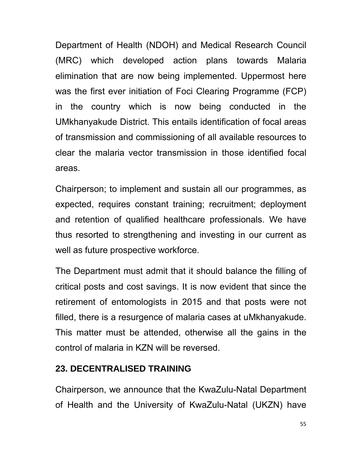Department of Health (NDOH) and Medical Research Council (MRC) which developed action plans towards Malaria elimination that are now being implemented. Uppermost here was the first ever initiation of Foci Clearing Programme (FCP) in the country which is now being conducted in the UMkhanyakude District. This entails identification of focal areas of transmission and commissioning of all available resources to clear the malaria vector transmission in those identified focal areas.

Chairperson; to implement and sustain all our programmes, as expected, requires constant training; recruitment; deployment and retention of qualified healthcare professionals. We have thus resorted to strengthening and investing in our current as well as future prospective workforce.

The Department must admit that it should balance the filling of critical posts and cost savings. It is now evident that since the retirement of entomologists in 2015 and that posts were not filled, there is a resurgence of malaria cases at uMkhanyakude. This matter must be attended, otherwise all the gains in the control of malaria in KZN will be reversed.

### **23. DECENTRALISED TRAINING**

Chairperson, we announce that the KwaZulu-Natal Department of Health and the University of KwaZulu-Natal (UKZN) have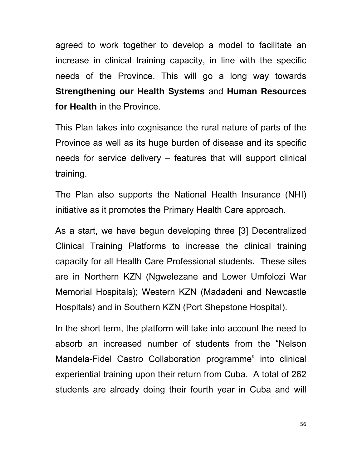agreed to work together to develop a model to facilitate an increase in clinical training capacity, in line with the specific needs of the Province. This will go a long way towards **Strengthening our Health Systems** and **Human Resources for Health** in the Province.

This Plan takes into cognisance the rural nature of parts of the Province as well as its huge burden of disease and its specific needs for service delivery – features that will support clinical training.

The Plan also supports the National Health Insurance (NHI) initiative as it promotes the Primary Health Care approach.

As a start, we have begun developing three [3] Decentralized Clinical Training Platforms to increase the clinical training capacity for all Health Care Professional students. These sites are in Northern KZN (Ngwelezane and Lower Umfolozi War Memorial Hospitals); Western KZN (Madadeni and Newcastle Hospitals) and in Southern KZN (Port Shepstone Hospital).

In the short term, the platform will take into account the need to absorb an increased number of students from the "Nelson Mandela-Fidel Castro Collaboration programme" into clinical experiential training upon their return from Cuba. A total of 262 students are already doing their fourth year in Cuba and will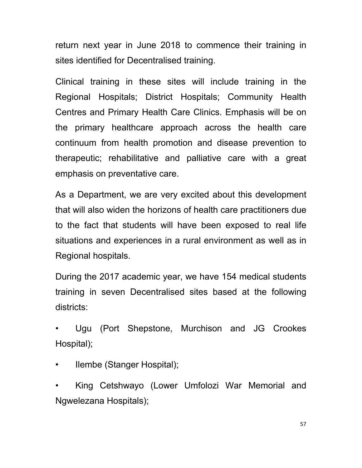return next year in June 2018 to commence their training in sites identified for Decentralised training.

Clinical training in these sites will include training in the Regional Hospitals; District Hospitals; Community Health Centres and Primary Health Care Clinics. Emphasis will be on the primary healthcare approach across the health care continuum from health promotion and disease prevention to therapeutic; rehabilitative and palliative care with a great emphasis on preventative care.

As a Department, we are very excited about this development that will also widen the horizons of health care practitioners due to the fact that students will have been exposed to real life situations and experiences in a rural environment as well as in Regional hospitals.

During the 2017 academic year, we have 154 medical students training in seven Decentralised sites based at the following districts:

• Ugu (Port Shepstone, Murchison and JG Crookes Hospital);

• Ilembe (Stanger Hospital);

• King Cetshwayo (Lower Umfolozi War Memorial and Ngwelezana Hospitals);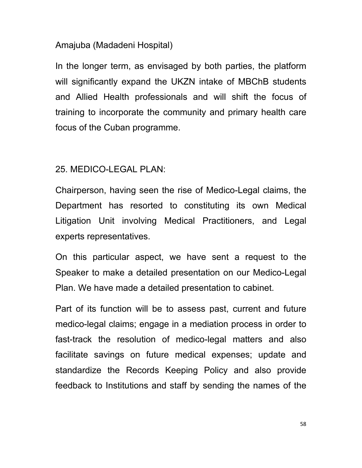#### Amajuba (Madadeni Hospital)

In the longer term, as envisaged by both parties, the platform will significantly expand the UKZN intake of MBChB students and Allied Health professionals and will shift the focus of training to incorporate the community and primary health care focus of the Cuban programme.

#### 25. MEDICO-LEGAL PLAN:

Chairperson, having seen the rise of Medico-Legal claims, the Department has resorted to constituting its own Medical Litigation Unit involving Medical Practitioners, and Legal experts representatives.

On this particular aspect, we have sent a request to the Speaker to make a detailed presentation on our Medico-Legal Plan. We have made a detailed presentation to cabinet.

Part of its function will be to assess past, current and future medico-legal claims; engage in a mediation process in order to fast-track the resolution of medico-legal matters and also facilitate savings on future medical expenses; update and standardize the Records Keeping Policy and also provide feedback to Institutions and staff by sending the names of the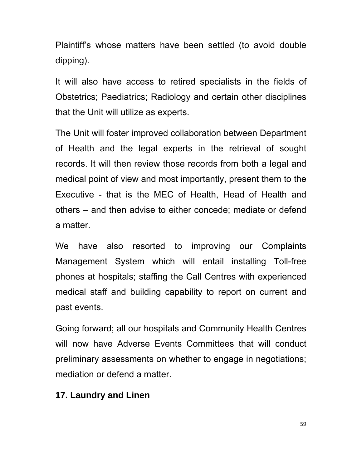Plaintiff's whose matters have been settled (to avoid double dipping).

It will also have access to retired specialists in the fields of Obstetrics; Paediatrics; Radiology and certain other disciplines that the Unit will utilize as experts.

The Unit will foster improved collaboration between Department of Health and the legal experts in the retrieval of sought records. It will then review those records from both a legal and medical point of view and most importantly, present them to the Executive - that is the MEC of Health, Head of Health and others – and then advise to either concede; mediate or defend a matter.

We have also resorted to improving our Complaints Management System which will entail installing Toll-free phones at hospitals; staffing the Call Centres with experienced medical staff and building capability to report on current and past events.

Going forward; all our hospitals and Community Health Centres will now have Adverse Events Committees that will conduct preliminary assessments on whether to engage in negotiations; mediation or defend a matter.

#### **17. Laundry and Linen**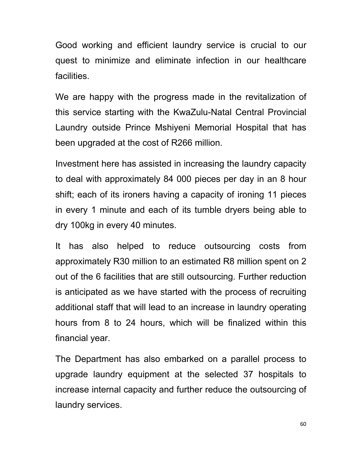Good working and efficient laundry service is crucial to our quest to minimize and eliminate infection in our healthcare facilities.

We are happy with the progress made in the revitalization of this service starting with the KwaZulu-Natal Central Provincial Laundry outside Prince Mshiyeni Memorial Hospital that has been upgraded at the cost of R266 million.

Investment here has assisted in increasing the laundry capacity to deal with approximately 84 000 pieces per day in an 8 hour shift; each of its ironers having a capacity of ironing 11 pieces in every 1 minute and each of its tumble dryers being able to dry 100kg in every 40 minutes.

It has also helped to reduce outsourcing costs from approximately R30 million to an estimated R8 million spent on 2 out of the 6 facilities that are still outsourcing. Further reduction is anticipated as we have started with the process of recruiting additional staff that will lead to an increase in laundry operating hours from 8 to 24 hours, which will be finalized within this financial year.

The Department has also embarked on a parallel process to upgrade laundry equipment at the selected 37 hospitals to increase internal capacity and further reduce the outsourcing of laundry services.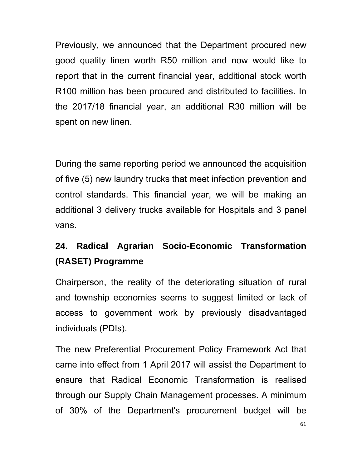Previously, we announced that the Department procured new good quality linen worth R50 million and now would like to report that in the current financial year, additional stock worth R100 million has been procured and distributed to facilities. In the 2017/18 financial year, an additional R30 million will be spent on new linen.

During the same reporting period we announced the acquisition of five (5) new laundry trucks that meet infection prevention and control standards. This financial year, we will be making an additional 3 delivery trucks available for Hospitals and 3 panel vans.

# **24. Radical Agrarian Socio-Economic Transformation (RASET) Programme**

Chairperson, the reality of the deteriorating situation of rural and township economies seems to suggest limited or lack of access to government work by previously disadvantaged individuals (PDIs).

The new Preferential Procurement Policy Framework Act that came into effect from 1 April 2017 will assist the Department to ensure that Radical Economic Transformation is realised through our Supply Chain Management processes. A minimum of 30% of the Department's procurement budget will be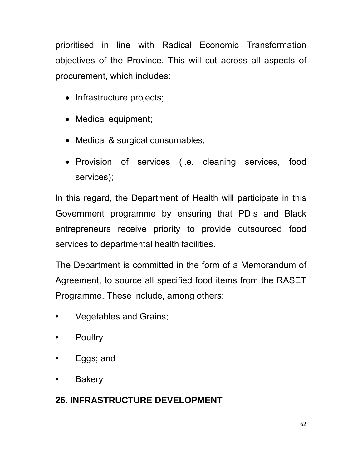prioritised in line with Radical Economic Transformation objectives of the Province. This will cut across all aspects of procurement, which includes:

- Infrastructure projects;
- Medical equipment;
- Medical & surgical consumables;
- Provision of services (i.e. cleaning services, food services);

In this regard, the Department of Health will participate in this Government programme by ensuring that PDIs and Black entrepreneurs receive priority to provide outsourced food services to departmental health facilities.

The Department is committed in the form of a Memorandum of Agreement, to source all specified food items from the RASET Programme. These include, among others:

- Vegetables and Grains;
- Poultry
- Eggs; and
- Bakery

## **26. INFRASTRUCTURE DEVELOPMENT**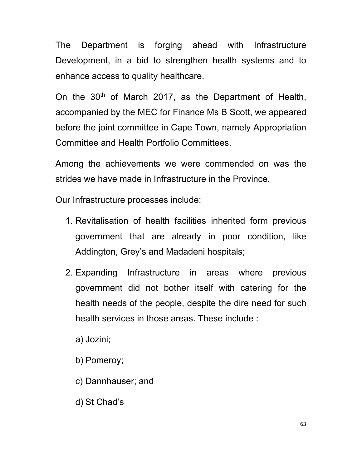The Department is forging ahead with Infrastructure Development, in a bid to strengthen health systems and to enhance access to quality healthcare.

On the  $30<sup>th</sup>$  of March 2017, as the Department of Health, accompanied by the MEC for Finance Ms B Scott, we appeared before the joint committee in Cape Town, namely Appropriation Committee and Health Portfolio Committees.

Among the achievements we were commended on was the strides we have made in Infrastructure in the Province.

Our Infrastructure processes include:

- 1. Revitalisation of health facilities inherited form previous government that are already in poor condition, like Addington, Grey's and Madadeni hospitals;
- 2. Expanding Infrastructure in areas where previous government did not bother itself with catering for the health needs of the people, despite the dire need for such health services in those areas. These include :

a) Jozini;

b) Pomeroy;

c) Dannhauser; and

d) St Chad's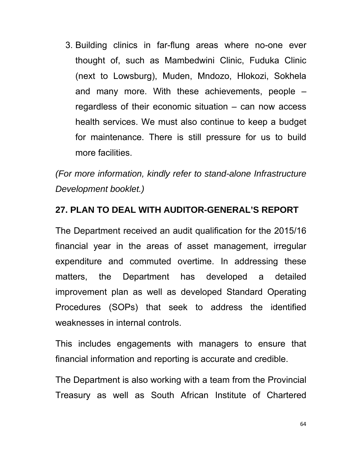3. Building clinics in far-flung areas where no-one ever thought of, such as Mambedwini Clinic, Fuduka Clinic (next to Lowsburg), Muden, Mndozo, Hlokozi, Sokhela and many more. With these achievements, people – regardless of their economic situation – can now access health services. We must also continue to keep a budget for maintenance. There is still pressure for us to build more facilities.

*(For more information, kindly refer to stand-alone Infrastructure Development booklet.)* 

### **27. PLAN TO DEAL WITH AUDITOR-GENERAL'S REPORT**

The Department received an audit qualification for the 2015/16 financial year in the areas of asset management, irregular expenditure and commuted overtime. In addressing these matters, the Department has developed a detailed improvement plan as well as developed Standard Operating Procedures (SOPs) that seek to address the identified weaknesses in internal controls.

This includes engagements with managers to ensure that financial information and reporting is accurate and credible.

The Department is also working with a team from the Provincial Treasury as well as South African Institute of Chartered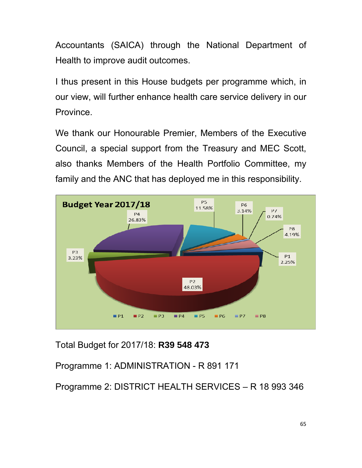Accountants (SAICA) through the National Department of Health to improve audit outcomes.

I thus present in this House budgets per programme which, in our view, will further enhance health care service delivery in our Province.

We thank our Honourable Premier, Members of the Executive Council, a special support from the Treasury and MEC Scott, also thanks Members of the Health Portfolio Committee, my family and the ANC that has deployed me in this responsibility.



Total Budget for 2017/18: **R39 548 473**

Programme 1: ADMINISTRATION - R 891 171

Programme 2: DISTRICT HEALTH SERVICES – R 18 993 346